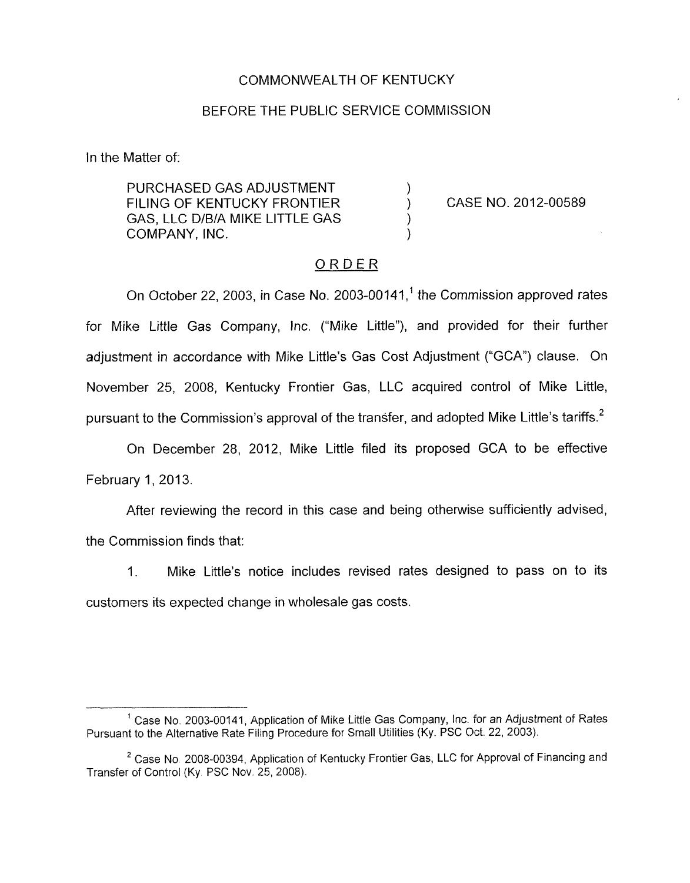## COMMONWEALTH OF KENTUCKY

### BEFORE THE PUBLIC SERVICE COMMISSION

In the Matter of:

PURCHASED GAS ADJUSTMENT FILING OF KENTUCKY FRONTIER  $)$ GAS, LLC D/B/A MIKE LITTLE GAS COMPANY, INC.

CASE NO. 2012-00589

#### ORDER

On October 22, 2003, in Case No. 2003-00141, $<sup>1</sup>$  the Commission approved rates</sup> for Mike Little Gas Company, Inc. ("Mike Little"), and provided for their further adjustment in accordance with Mike Little's Gas Cost Adjustment ("GCA") clause. On November 25, 2008, Kentucky Frontier Gas, LLC acquired control of Mike Little, pursuant to the Commission's approval of the transfer, and adopted Mike Little's tariffs.<sup>2</sup>

On December 28, 2012, Mike Little filed its proposed GCA to be effective February 1, 2013.

After reviewing the record in this case and being otherwise sufficiently advised, the Commission finds that:

1. Mike Little's notice includes revised rates designed to pass on to its customers its expected change in wholesale gas costs.

<sup>&</sup>lt;sup>1</sup> Case No. 2003-00141, Application of Mike Little Gas Company, Inc. for an Adjustment of Rates Pursuant to the Alternative Rate Filing Procedure for Small Utilities (Ky. PSC Qct. 22, 2003).

 $2$  Case No. 2008-00394, Application of Kentucky Frontier Gas, LLC for Approval of Financing and Transfer of Control (Ky. PSC Nov. 25, 2008).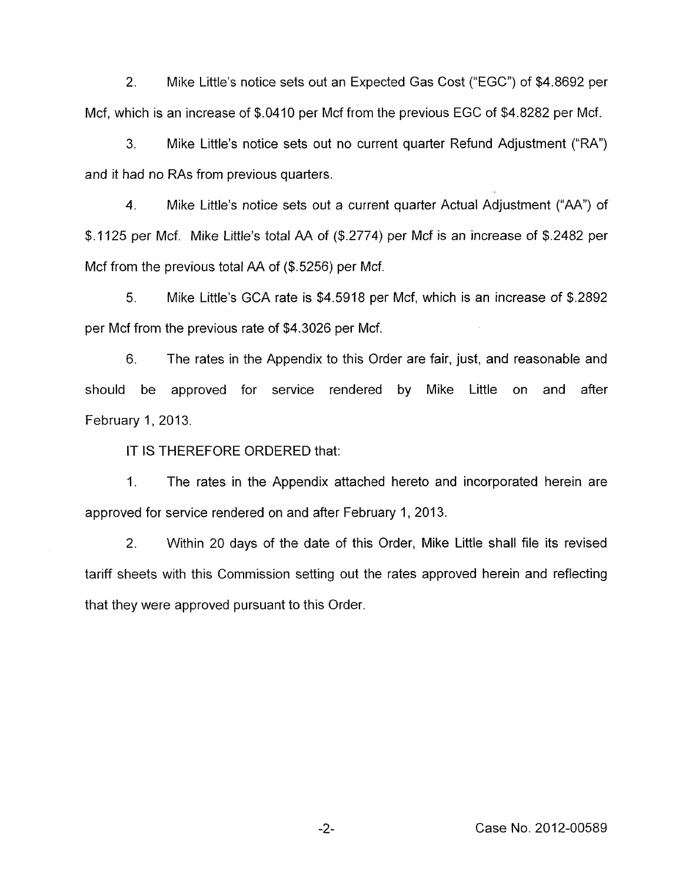**2.** Mike Little's notice sets out an Expected Gas Cost ("EGC") of **\$4.8692** per Mcf, which is an increase of **\$.0410** per Mcf from the previous EGC of **\$4.8282** per Mcf.

**3.** Mike Little's notice sets out no current quarter Refund Adjustment ("RA") and it had no RAs from previous quarters.

**4.** Mike Little's notice sets out a current quarter Actual Adjustment ("AA") of **\$.I 125** per Mcf. Mike Little's total AA of (\$.2774) per Mcf is an increase of **\$.2482** per Mcf from the previous total AA of **(\$.5256)** per Mcf.

*5.* Mike Little's GCA rate is **\$4.5918** per Mcf, which is an increase of **\$.2892**  per Mcf from the previous rate of **\$4.3026** per Mcf.

**6.** The rates in the Appendix to this Order are fair, just, and reasonable and should be approved for service rendered by Mike Little on and after February 1, 2013.

IT IS THEREFORE ORDERED that:

1. The rates in the Appendix attached hereto and incorporated herein are approved for service rendered on and after February 1, 2013.

**2.** Within **20** days of the date of this Order, Mike Little shall file its revised tariff sheets with this Commission setting out the rates approved herein and reflecting that they were approved pursuant to this Order.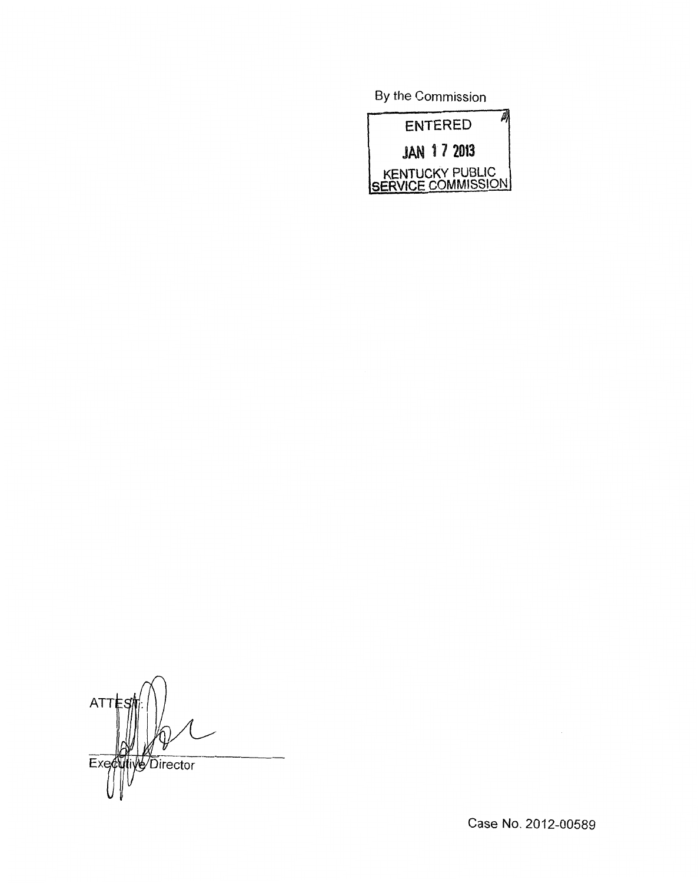**By** the Commission



 $ATTE$  $\overline{Ex}$ Director

Case No. 2012-00589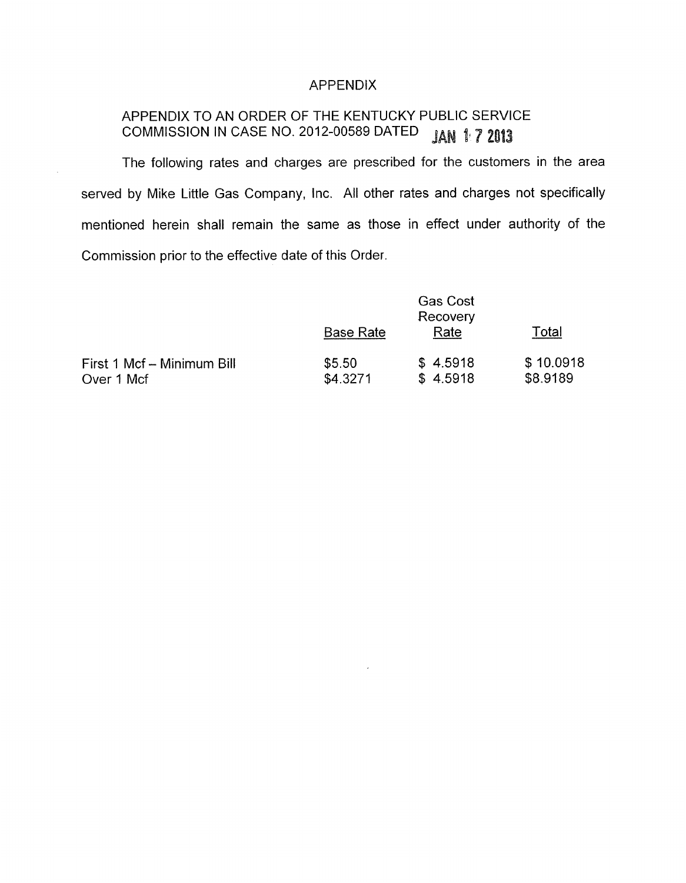# APPENDIX

#### APPENDIX TO AN ORDER OF THE KENTUCKY PUBLIC SERVICE COMMISSION IN CASE NO. 2012-00589 DATED **JAN 1:7 2013**

The following rates and charges are prescribed for the customers in the area served by Mike Little Gas Company, lnc. All other rates and charges not specifically mentioned herein shall remain the same as those in effect under authority of the Commission prior to the effective date of this Order.

|                                          |                    | <b>Gas Cost</b><br>Recovery |                       |
|------------------------------------------|--------------------|-----------------------------|-----------------------|
|                                          | <b>Base Rate</b>   | Rate                        | Total                 |
| First 1 Mcf - Minimum Bill<br>Over 1 Mcf | \$5.50<br>\$4.3271 | \$4.5918<br>\$4.5918        | \$10.0918<br>\$8.9189 |